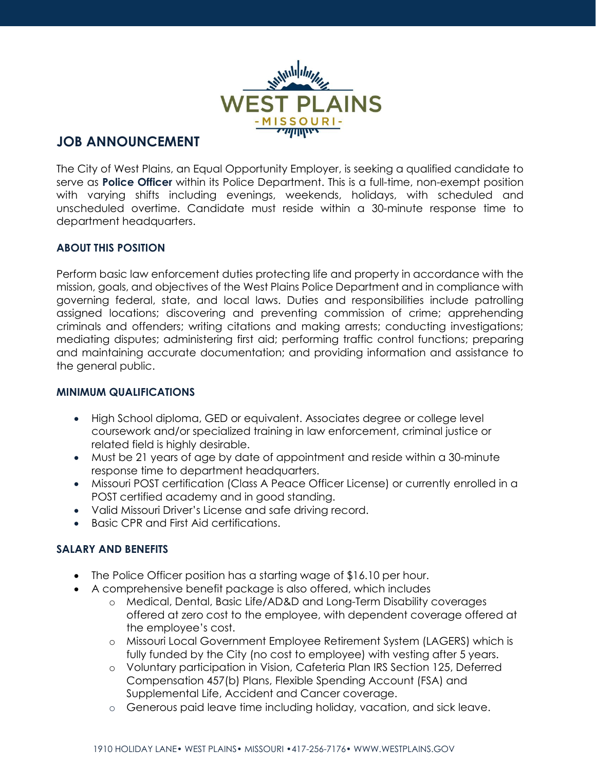

# **JOB ANNOUNCEMENT**

The City of West Plains, an Equal Opportunity Employer, is seeking a qualified candidate to serve as **Police Officer** within its Police Department. This is a full-time, non-exempt position with varying shifts including evenings, weekends, holidays, with scheduled and unscheduled overtime. Candidate must reside within a 30-minute response time to department headquarters.

#### **ABOUT THIS POSITION**

Perform basic law enforcement duties protecting life and property in accordance with the mission, goals, and objectives of the West Plains Police Department and in compliance with governing federal, state, and local laws. Duties and responsibilities include patrolling assigned locations; discovering and preventing commission of crime; apprehending criminals and offenders; writing citations and making arrests; conducting investigations; mediating disputes; administering first aid; performing traffic control functions; preparing and maintaining accurate documentation; and providing information and assistance to the general public.

## **MINIMUM QUALIFICATIONS**

- High School diploma, GED or equivalent. Associates degree or college level coursework and/or specialized training in law enforcement, criminal justice or related field is highly desirable.
- Must be 21 years of age by date of appointment and reside within a 30-minute response time to department headquarters.
- Missouri POST certification (Class A Peace Officer License) or currently enrolled in a POST certified academy and in good standing.
- Valid Missouri Driver's License and safe driving record.
- Basic CPR and First Aid certifications.

## **SALARY AND BENEFITS**

- The Police Officer position has a starting wage of \$16.10 per hour.
- A comprehensive benefit package is also offered, which includes
	- o Medical, Dental, Basic Life/AD&D and Long-Term Disability coverages offered at zero cost to the employee, with dependent coverage offered at the employee's cost.
	- o Missouri Local Government Employee Retirement System (LAGERS) which is fully funded by the City (no cost to employee) with vesting after 5 years.
	- o Voluntary participation in Vision, Cafeteria Plan IRS Section 125, Deferred Compensation 457(b) Plans, Flexible Spending Account (FSA) and Supplemental Life, Accident and Cancer coverage.
	- o Generous paid leave time including holiday, vacation, and sick leave.